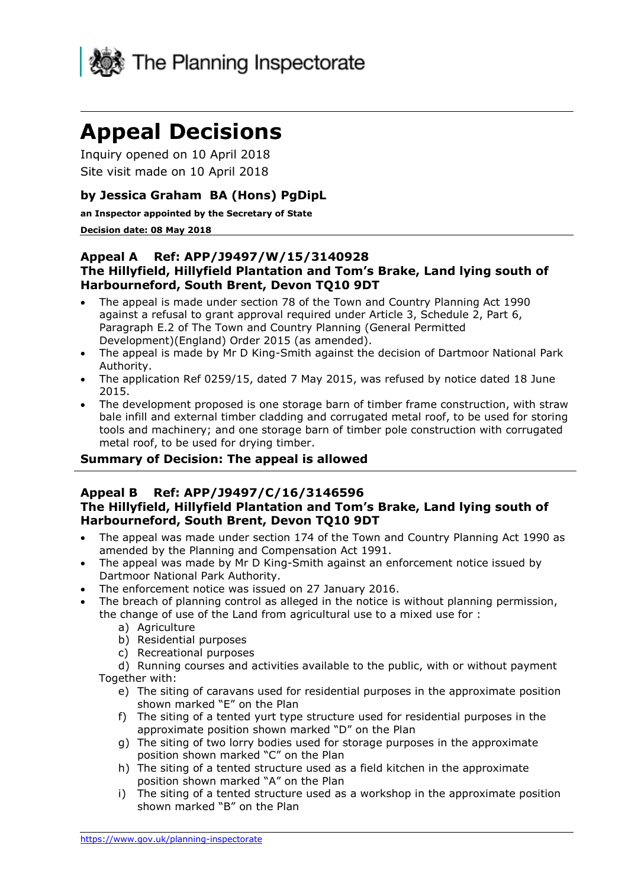

# **Appeal Decisions**

Inquiry opened on 10 April 2018 Site visit made on 10 April 2018

## **by Jessica Graham BA (Hons) PgDipL**

**an Inspector appointed by the Secretary of State** 

#### **Decision date: 08 May 2018**

#### **Appeal A Ref: APP/J9497/W/15/3140928 The Hillyfield, Hillyfield Plantation and Tom's Brake, Land lying south of Harbourneford, South Brent, Devon TQ10 9DT**

- The appeal is made under section 78 of the Town and Country Planning Act 1990 against a refusal to grant approval required under Article 3, Schedule 2, Part 6, Paragraph E.2 of The Town and Country Planning (General Permitted Development)(England) Order 2015 (as amended).
- The appeal is made by Mr D King-Smith against the decision of Dartmoor National Park Authority.
- The application Ref 0259/15, dated 7 May 2015, was refused by notice dated 18 June 2015.
- The development proposed is one storage barn of timber frame construction, with straw bale infill and external timber cladding and corrugated metal roof, to be used for storing tools and machinery; and one storage barn of timber pole construction with corrugated metal roof, to be used for drying timber.

## **Summary of Decision: The appeal is allowed**

#### **Appeal B Ref: APP/J9497/C/16/3146596 The Hillyfield, Hillyfield Plantation and Tom's Brake, Land lying south of Harbourneford, South Brent, Devon TQ10 9DT**

- The appeal was made under section 174 of the Town and Country Planning Act 1990 as amended by the Planning and Compensation Act 1991.
- The appeal was made by Mr D King-Smith against an enforcement notice issued by Dartmoor National Park Authority.
- The enforcement notice was issued on 27 January 2016.
- The breach of planning control as alleged in the notice is without planning permission, the change of use of the Land from agricultural use to a mixed use for :
	- a) Agriculture
	- b) Residential purposes
	- c) Recreational purposes

d) Running courses and activities available to the public, with or without payment Together with:

- e) The siting of caravans used for residential purposes in the approximate position shown marked "E" on the Plan
- f) The siting of a tented yurt type structure used for residential purposes in the approximate position shown marked "D" on the Plan
- g) The siting of two lorry bodies used for storage purposes in the approximate position shown marked "C" on the Plan
- h) The siting of a tented structure used as a field kitchen in the approximate position shown marked "A" on the Plan
- i) The siting of a tented structure used as a workshop in the approximate position shown marked "B" on the Plan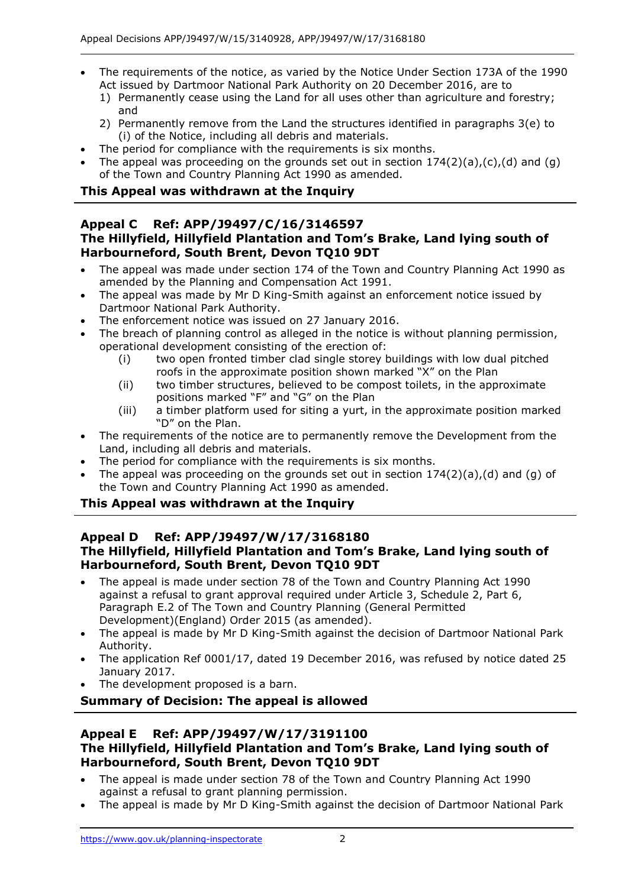- The requirements of the notice, as varied by the Notice Under Section 173A of the 1990 Act issued by Dartmoor National Park Authority on 20 December 2016, are to
	- 1) Permanently cease using the Land for all uses other than agriculture and forestry; and
	- 2) Permanently remove from the Land the structures identified in paragraphs 3(e) to (i) of the Notice, including all debris and materials.
- The period for compliance with the requirements is six months.
- The appeal was proceeding on the grounds set out in section  $174(2)(a)$ , (c), (d) and (q) of the Town and Country Planning Act 1990 as amended.

## **This Appeal was withdrawn at the Inquiry**

#### **Appeal C Ref: APP/J9497/C/16/3146597 The Hillyfield, Hillyfield Plantation and Tom's Brake, Land lying south of Harbourneford, South Brent, Devon TQ10 9DT**

- The appeal was made under section 174 of the Town and Country Planning Act 1990 as amended by the Planning and Compensation Act 1991.
- The appeal was made by Mr D King-Smith against an enforcement notice issued by Dartmoor National Park Authority.
- The enforcement notice was issued on 27 January 2016.
- The breach of planning control as alleged in the notice is without planning permission, operational development consisting of the erection of:
	- (i) two open fronted timber clad single storey buildings with low dual pitched roofs in the approximate position shown marked "X" on the Plan
	- (ii) two timber structures, believed to be compost toilets, in the approximate positions marked "F" and "G" on the Plan
	- (iii) a timber platform used for siting a yurt, in the approximate position marked "D" on the Plan.
- The requirements of the notice are to permanently remove the Development from the Land, including all debris and materials.
- The period for compliance with the requirements is six months.
- The appeal was proceeding on the grounds set out in section  $174(2)(a)$ , (d) and (g) of the Town and Country Planning Act 1990 as amended.

## **This Appeal was withdrawn at the Inquiry**

## **Appeal D Ref: APP/J9497/W/17/3168180 The Hillyfield, Hillyfield Plantation and Tom's Brake, Land lying south of Harbourneford, South Brent, Devon TQ10 9DT**

- The appeal is made under section 78 of the Town and Country Planning Act 1990 against a refusal to grant approval required under Article 3, Schedule 2, Part 6, Paragraph E.2 of The Town and Country Planning (General Permitted Development)(England) Order 2015 (as amended).
- The appeal is made by Mr D King-Smith against the decision of Dartmoor National Park Authority.
- The application Ref 0001/17, dated 19 December 2016, was refused by notice dated 25 January 2017.
- The development proposed is a barn.

## **Summary of Decision: The appeal is allowed**

#### **Appeal E Ref: APP/J9497/W/17/3191100 The Hillyfield, Hillyfield Plantation and Tom's Brake, Land lying south of Harbourneford, South Brent, Devon TQ10 9DT**

- The appeal is made under section 78 of the Town and Country Planning Act 1990 against a refusal to grant planning permission.
- The appeal is made by Mr D King-Smith against the decision of Dartmoor National Park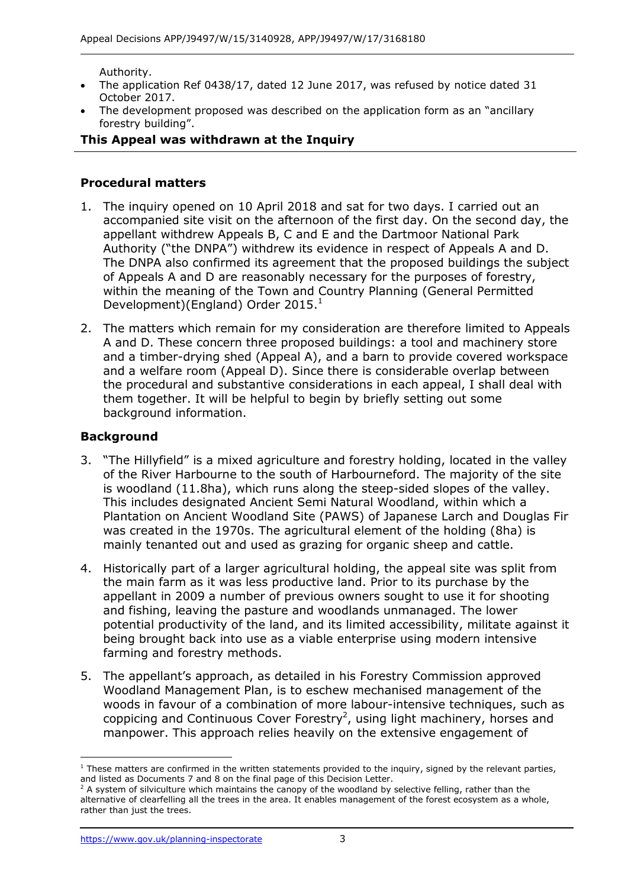Authority.

- The application Ref 0438/17, dated 12 June 2017, was refused by notice dated 31 October 2017.
- The development proposed was described on the application form as an "ancillary forestry building".

#### **This Appeal was withdrawn at the Inquiry**

#### **Procedural matters**

- 1. The inquiry opened on 10 April 2018 and sat for two days. I carried out an accompanied site visit on the afternoon of the first day. On the second day, the appellant withdrew Appeals B, C and E and the Dartmoor National Park Authority ("the DNPA") withdrew its evidence in respect of Appeals A and D. The DNPA also confirmed its agreement that the proposed buildings the subject of Appeals A and D are reasonably necessary for the purposes of forestry, within the meaning of the Town and Country Planning (General Permitted Development)(England) Order 2015.<sup>1</sup>
- 2. The matters which remain for my consideration are therefore limited to Appeals A and D. These concern three proposed buildings: a tool and machinery store and a timber-drying shed (Appeal A), and a barn to provide covered workspace and a welfare room (Appeal D). Since there is considerable overlap between the procedural and substantive considerations in each appeal, I shall deal with them together. It will be helpful to begin by briefly setting out some background information.

#### **Background**

- 3. "The Hillyfield" is a mixed agriculture and forestry holding, located in the valley of the River Harbourne to the south of Harbourneford. The majority of the site is woodland (11.8ha), which runs along the steep-sided slopes of the valley. This includes designated Ancient Semi Natural Woodland, within which a Plantation on Ancient Woodland Site (PAWS) of Japanese Larch and Douglas Fir was created in the 1970s. The agricultural element of the holding (8ha) is mainly tenanted out and used as grazing for organic sheep and cattle.
- 4. Historically part of a larger agricultural holding, the appeal site was split from the main farm as it was less productive land. Prior to its purchase by the appellant in 2009 a number of previous owners sought to use it for shooting and fishing, leaving the pasture and woodlands unmanaged. The lower potential productivity of the land, and its limited accessibility, militate against it being brought back into use as a viable enterprise using modern intensive farming and forestry methods.
- 5. The appellant's approach, as detailed in his Forestry Commission approved Woodland Management Plan, is to eschew mechanised management of the woods in favour of a combination of more labour-intensive techniques, such as coppicing and Continuous Cover Forestry<sup>2</sup>, using light machinery, horses and manpower. This approach relies heavily on the extensive engagement of

j  $1$  These matters are confirmed in the written statements provided to the inquiry, signed by the relevant parties, and listed as Documents 7 and 8 on the final page of this Decision Letter.

 $<sup>2</sup>$  A system of silviculture which maintains the canopy of the woodland by selective felling, rather than the</sup> alternative of clearfelling all the trees in the area. It enables management of the forest ecosystem as a whole, rather than just the trees.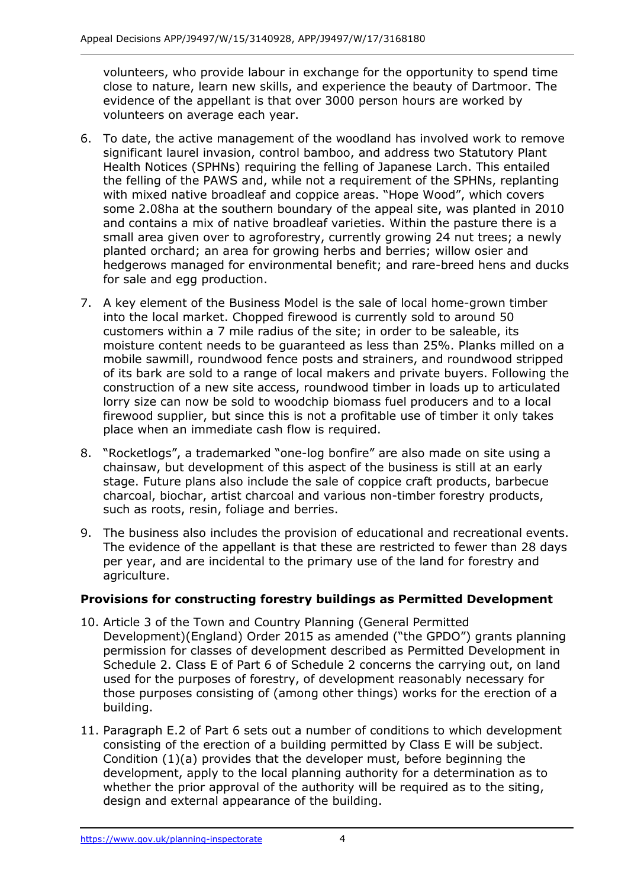volunteers, who provide labour in exchange for the opportunity to spend time close to nature, learn new skills, and experience the beauty of Dartmoor. The evidence of the appellant is that over 3000 person hours are worked by volunteers on average each year.

- 6. To date, the active management of the woodland has involved work to remove significant laurel invasion, control bamboo, and address two Statutory Plant Health Notices (SPHNs) requiring the felling of Japanese Larch. This entailed the felling of the PAWS and, while not a requirement of the SPHNs, replanting with mixed native broadleaf and coppice areas. "Hope Wood", which covers some 2.08ha at the southern boundary of the appeal site, was planted in 2010 and contains a mix of native broadleaf varieties. Within the pasture there is a small area given over to agroforestry, currently growing 24 nut trees; a newly planted orchard; an area for growing herbs and berries; willow osier and hedgerows managed for environmental benefit; and rare-breed hens and ducks for sale and egg production.
- 7. A key element of the Business Model is the sale of local home-grown timber into the local market. Chopped firewood is currently sold to around 50 customers within a 7 mile radius of the site; in order to be saleable, its moisture content needs to be guaranteed as less than 25%. Planks milled on a mobile sawmill, roundwood fence posts and strainers, and roundwood stripped of its bark are sold to a range of local makers and private buyers. Following the construction of a new site access, roundwood timber in loads up to articulated lorry size can now be sold to woodchip biomass fuel producers and to a local firewood supplier, but since this is not a profitable use of timber it only takes place when an immediate cash flow is required.
- 8. "Rocketlogs", a trademarked "one-log bonfire" are also made on site using a chainsaw, but development of this aspect of the business is still at an early stage. Future plans also include the sale of coppice craft products, barbecue charcoal, biochar, artist charcoal and various non-timber forestry products, such as roots, resin, foliage and berries.
- 9. The business also includes the provision of educational and recreational events. The evidence of the appellant is that these are restricted to fewer than 28 days per year, and are incidental to the primary use of the land for forestry and agriculture.

## **Provisions for constructing forestry buildings as Permitted Development**

- 10. Article 3 of the Town and Country Planning (General Permitted Development)(England) Order 2015 as amended ("the GPDO") grants planning permission for classes of development described as Permitted Development in Schedule 2. Class E of Part 6 of Schedule 2 concerns the carrying out, on land used for the purposes of forestry, of development reasonably necessary for those purposes consisting of (among other things) works for the erection of a building.
- 11. Paragraph E.2 of Part 6 sets out a number of conditions to which development consisting of the erection of a building permitted by Class E will be subject. Condition (1)(a) provides that the developer must, before beginning the development, apply to the local planning authority for a determination as to whether the prior approval of the authority will be required as to the siting, design and external appearance of the building.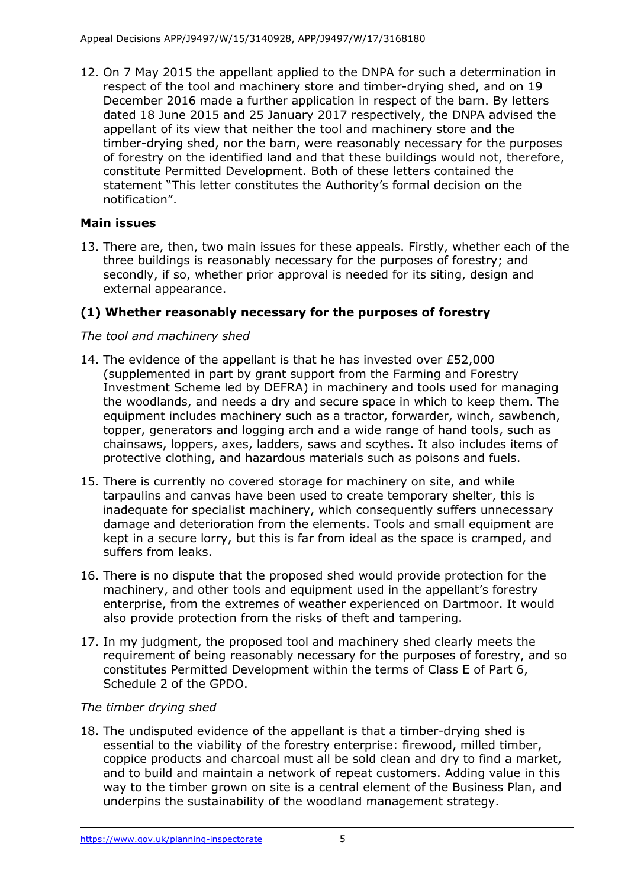12. On 7 May 2015 the appellant applied to the DNPA for such a determination in respect of the tool and machinery store and timber-drying shed, and on 19 December 2016 made a further application in respect of the barn. By letters dated 18 June 2015 and 25 January 2017 respectively, the DNPA advised the appellant of its view that neither the tool and machinery store and the timber-drying shed, nor the barn, were reasonably necessary for the purposes of forestry on the identified land and that these buildings would not, therefore, constitute Permitted Development. Both of these letters contained the statement "This letter constitutes the Authority's formal decision on the notification".

## **Main issues**

13. There are, then, two main issues for these appeals. Firstly, whether each of the three buildings is reasonably necessary for the purposes of forestry; and secondly, if so, whether prior approval is needed for its siting, design and external appearance.

## **(1) Whether reasonably necessary for the purposes of forestry**

## *The tool and machinery shed*

- 14. The evidence of the appellant is that he has invested over £52,000 (supplemented in part by grant support from the Farming and Forestry Investment Scheme led by DEFRA) in machinery and tools used for managing the woodlands, and needs a dry and secure space in which to keep them. The equipment includes machinery such as a tractor, forwarder, winch, sawbench, topper, generators and logging arch and a wide range of hand tools, such as chainsaws, loppers, axes, ladders, saws and scythes. It also includes items of protective clothing, and hazardous materials such as poisons and fuels.
- 15. There is currently no covered storage for machinery on site, and while tarpaulins and canvas have been used to create temporary shelter, this is inadequate for specialist machinery, which consequently suffers unnecessary damage and deterioration from the elements. Tools and small equipment are kept in a secure lorry, but this is far from ideal as the space is cramped, and suffers from leaks.
- 16. There is no dispute that the proposed shed would provide protection for the machinery, and other tools and equipment used in the appellant's forestry enterprise, from the extremes of weather experienced on Dartmoor. It would also provide protection from the risks of theft and tampering.
- 17. In my judgment, the proposed tool and machinery shed clearly meets the requirement of being reasonably necessary for the purposes of forestry, and so constitutes Permitted Development within the terms of Class E of Part 6, Schedule 2 of the GPDO.

## *The timber drying shed*

18. The undisputed evidence of the appellant is that a timber-drying shed is essential to the viability of the forestry enterprise: firewood, milled timber, coppice products and charcoal must all be sold clean and dry to find a market, and to build and maintain a network of repeat customers. Adding value in this way to the timber grown on site is a central element of the Business Plan, and underpins the sustainability of the woodland management strategy.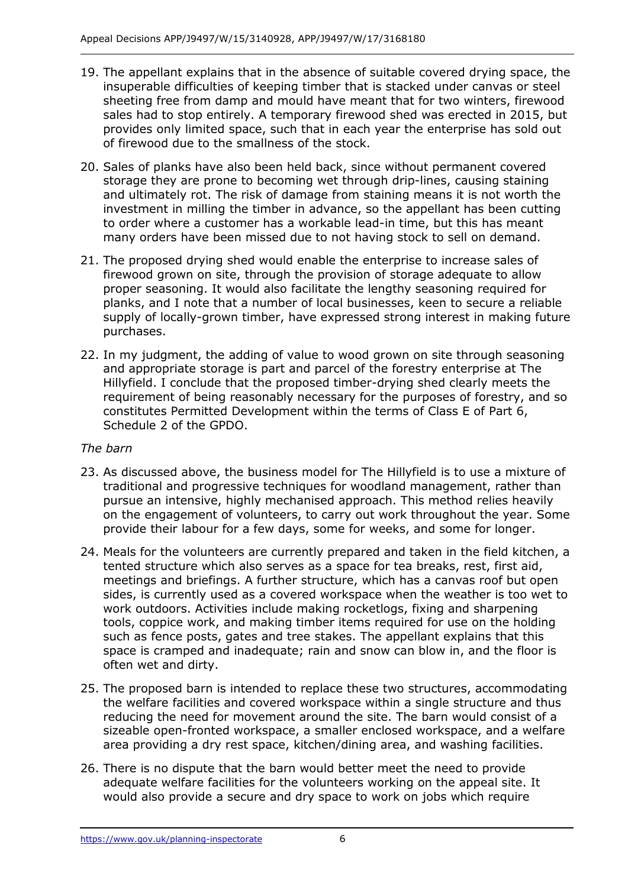- 19. The appellant explains that in the absence of suitable covered drying space, the insuperable difficulties of keeping timber that is stacked under canvas or steel sheeting free from damp and mould have meant that for two winters, firewood sales had to stop entirely. A temporary firewood shed was erected in 2015, but provides only limited space, such that in each year the enterprise has sold out of firewood due to the smallness of the stock.
- 20. Sales of planks have also been held back, since without permanent covered storage they are prone to becoming wet through drip-lines, causing staining and ultimately rot. The risk of damage from staining means it is not worth the investment in milling the timber in advance, so the appellant has been cutting to order where a customer has a workable lead-in time, but this has meant many orders have been missed due to not having stock to sell on demand.
- 21. The proposed drying shed would enable the enterprise to increase sales of firewood grown on site, through the provision of storage adequate to allow proper seasoning. It would also facilitate the lengthy seasoning required for planks, and I note that a number of local businesses, keen to secure a reliable supply of locally-grown timber, have expressed strong interest in making future purchases.
- 22. In my judgment, the adding of value to wood grown on site through seasoning and appropriate storage is part and parcel of the forestry enterprise at The Hillyfield. I conclude that the proposed timber-drying shed clearly meets the requirement of being reasonably necessary for the purposes of forestry, and so constitutes Permitted Development within the terms of Class E of Part 6, Schedule 2 of the GPDO.

## *The barn*

- 23. As discussed above, the business model for The Hillyfield is to use a mixture of traditional and progressive techniques for woodland management, rather than pursue an intensive, highly mechanised approach. This method relies heavily on the engagement of volunteers, to carry out work throughout the year. Some provide their labour for a few days, some for weeks, and some for longer.
- 24. Meals for the volunteers are currently prepared and taken in the field kitchen, a tented structure which also serves as a space for tea breaks, rest, first aid, meetings and briefings. A further structure, which has a canvas roof but open sides, is currently used as a covered workspace when the weather is too wet to work outdoors. Activities include making rocketlogs, fixing and sharpening tools, coppice work, and making timber items required for use on the holding such as fence posts, gates and tree stakes. The appellant explains that this space is cramped and inadequate; rain and snow can blow in, and the floor is often wet and dirty.
- 25. The proposed barn is intended to replace these two structures, accommodating the welfare facilities and covered workspace within a single structure and thus reducing the need for movement around the site. The barn would consist of a sizeable open-fronted workspace, a smaller enclosed workspace, and a welfare area providing a dry rest space, kitchen/dining area, and washing facilities.
- 26. There is no dispute that the barn would better meet the need to provide adequate welfare facilities for the volunteers working on the appeal site. It would also provide a secure and dry space to work on jobs which require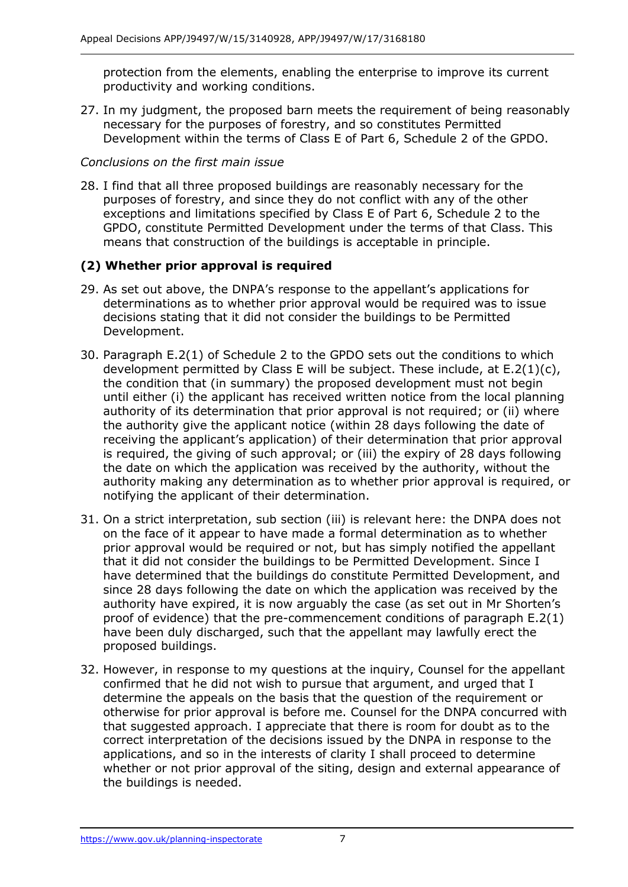protection from the elements, enabling the enterprise to improve its current productivity and working conditions.

27. In my judgment, the proposed barn meets the requirement of being reasonably necessary for the purposes of forestry, and so constitutes Permitted Development within the terms of Class E of Part 6, Schedule 2 of the GPDO.

## *Conclusions on the first main issue*

28. I find that all three proposed buildings are reasonably necessary for the purposes of forestry, and since they do not conflict with any of the other exceptions and limitations specified by Class E of Part 6, Schedule 2 to the GPDO, constitute Permitted Development under the terms of that Class. This means that construction of the buildings is acceptable in principle.

## **(2) Whether prior approval is required**

- 29. As set out above, the DNPA's response to the appellant's applications for determinations as to whether prior approval would be required was to issue decisions stating that it did not consider the buildings to be Permitted Development.
- 30. Paragraph E.2(1) of Schedule 2 to the GPDO sets out the conditions to which development permitted by Class E will be subject. These include, at  $E.2(1)(c)$ , the condition that (in summary) the proposed development must not begin until either (i) the applicant has received written notice from the local planning authority of its determination that prior approval is not required; or (ii) where the authority give the applicant notice (within 28 days following the date of receiving the applicant's application) of their determination that prior approval is required, the giving of such approval; or (iii) the expiry of 28 days following the date on which the application was received by the authority, without the authority making any determination as to whether prior approval is required, or notifying the applicant of their determination.
- 31. On a strict interpretation, sub section (iii) is relevant here: the DNPA does not on the face of it appear to have made a formal determination as to whether prior approval would be required or not, but has simply notified the appellant that it did not consider the buildings to be Permitted Development. Since I have determined that the buildings do constitute Permitted Development, and since 28 days following the date on which the application was received by the authority have expired, it is now arguably the case (as set out in Mr Shorten's proof of evidence) that the pre-commencement conditions of paragraph E.2(1) have been duly discharged, such that the appellant may lawfully erect the proposed buildings.
- 32. However, in response to my questions at the inquiry, Counsel for the appellant confirmed that he did not wish to pursue that argument, and urged that I determine the appeals on the basis that the question of the requirement or otherwise for prior approval is before me. Counsel for the DNPA concurred with that suggested approach. I appreciate that there is room for doubt as to the correct interpretation of the decisions issued by the DNPA in response to the applications, and so in the interests of clarity I shall proceed to determine whether or not prior approval of the siting, design and external appearance of the buildings is needed.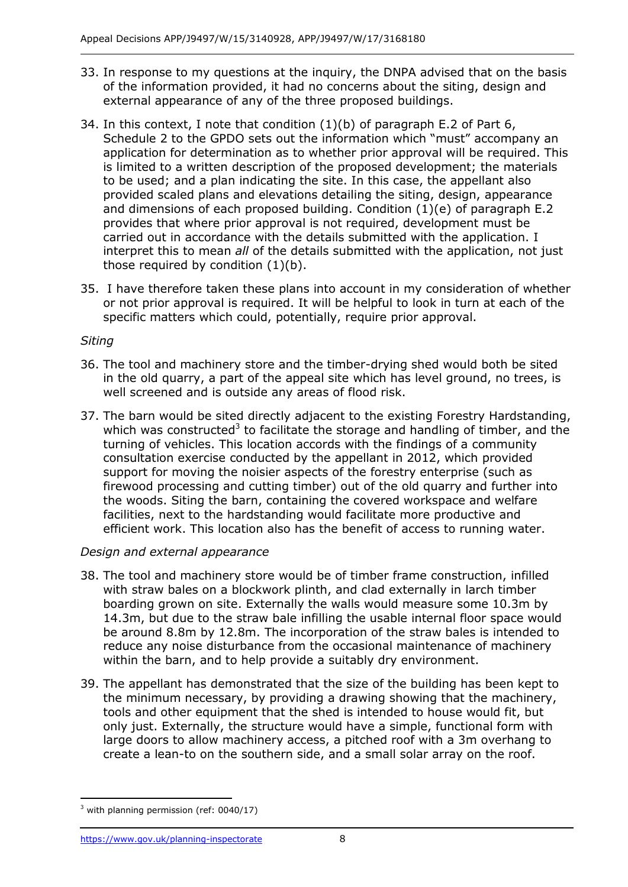- 33. In response to my questions at the inquiry, the DNPA advised that on the basis of the information provided, it had no concerns about the siting, design and external appearance of any of the three proposed buildings.
- 34. In this context, I note that condition (1)(b) of paragraph E.2 of Part 6, Schedule 2 to the GPDO sets out the information which "must" accompany an application for determination as to whether prior approval will be required. This is limited to a written description of the proposed development; the materials to be used; and a plan indicating the site. In this case, the appellant also provided scaled plans and elevations detailing the siting, design, appearance and dimensions of each proposed building. Condition (1)(e) of paragraph E.2 provides that where prior approval is not required, development must be carried out in accordance with the details submitted with the application. I interpret this to mean *all* of the details submitted with the application, not just those required by condition  $(1)(b)$ .
- 35. I have therefore taken these plans into account in my consideration of whether or not prior approval is required. It will be helpful to look in turn at each of the specific matters which could, potentially, require prior approval.

## *Siting*

- 36. The tool and machinery store and the timber-drying shed would both be sited in the old quarry, a part of the appeal site which has level ground, no trees, is well screened and is outside any areas of flood risk.
- 37. The barn would be sited directly adjacent to the existing Forestry Hardstanding, which was constructed<sup>3</sup> to facilitate the storage and handling of timber, and the turning of vehicles. This location accords with the findings of a community consultation exercise conducted by the appellant in 2012, which provided support for moving the noisier aspects of the forestry enterprise (such as firewood processing and cutting timber) out of the old quarry and further into the woods. Siting the barn, containing the covered workspace and welfare facilities, next to the hardstanding would facilitate more productive and efficient work. This location also has the benefit of access to running water.

## *Design and external appearance*

- 38. The tool and machinery store would be of timber frame construction, infilled with straw bales on a blockwork plinth, and clad externally in larch timber boarding grown on site. Externally the walls would measure some 10.3m by 14.3m, but due to the straw bale infilling the usable internal floor space would be around 8.8m by 12.8m. The incorporation of the straw bales is intended to reduce any noise disturbance from the occasional maintenance of machinery within the barn, and to help provide a suitably dry environment.
- 39. The appellant has demonstrated that the size of the building has been kept to the minimum necessary, by providing a drawing showing that the machinery, tools and other equipment that the shed is intended to house would fit, but only just. Externally, the structure would have a simple, functional form with large doors to allow machinery access, a pitched roof with a 3m overhang to create a lean-to on the southern side, and a small solar array on the roof.

-

 $3$  with planning permission (ref: 0040/17)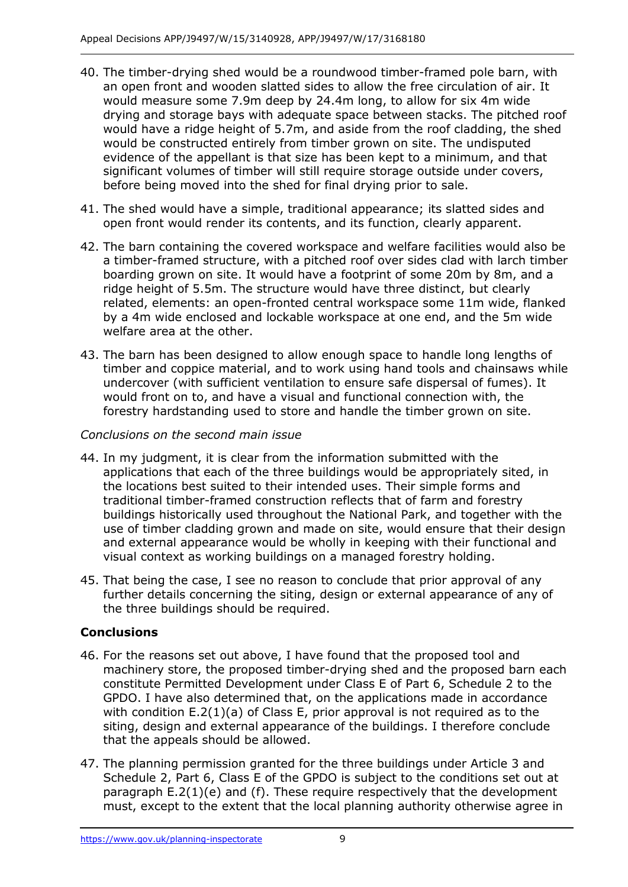- 40. The timber-drying shed would be a roundwood timber-framed pole barn, with an open front and wooden slatted sides to allow the free circulation of air. It would measure some 7.9m deep by 24.4m long, to allow for six 4m wide drying and storage bays with adequate space between stacks. The pitched roof would have a ridge height of 5.7m, and aside from the roof cladding, the shed would be constructed entirely from timber grown on site. The undisputed evidence of the appellant is that size has been kept to a minimum, and that significant volumes of timber will still require storage outside under covers, before being moved into the shed for final drying prior to sale.
- 41. The shed would have a simple, traditional appearance; its slatted sides and open front would render its contents, and its function, clearly apparent.
- 42. The barn containing the covered workspace and welfare facilities would also be a timber-framed structure, with a pitched roof over sides clad with larch timber boarding grown on site. It would have a footprint of some 20m by 8m, and a ridge height of 5.5m. The structure would have three distinct, but clearly related, elements: an open-fronted central workspace some 11m wide, flanked by a 4m wide enclosed and lockable workspace at one end, and the 5m wide welfare area at the other.
- 43. The barn has been designed to allow enough space to handle long lengths of timber and coppice material, and to work using hand tools and chainsaws while undercover (with sufficient ventilation to ensure safe dispersal of fumes). It would front on to, and have a visual and functional connection with, the forestry hardstanding used to store and handle the timber grown on site.

## *Conclusions on the second main issue*

- 44. In my judgment, it is clear from the information submitted with the applications that each of the three buildings would be appropriately sited, in the locations best suited to their intended uses. Their simple forms and traditional timber-framed construction reflects that of farm and forestry buildings historically used throughout the National Park, and together with the use of timber cladding grown and made on site, would ensure that their design and external appearance would be wholly in keeping with their functional and visual context as working buildings on a managed forestry holding.
- 45. That being the case, I see no reason to conclude that prior approval of any further details concerning the siting, design or external appearance of any of the three buildings should be required.

## **Conclusions**

- 46. For the reasons set out above, I have found that the proposed tool and machinery store, the proposed timber-drying shed and the proposed barn each constitute Permitted Development under Class E of Part 6, Schedule 2 to the GPDO. I have also determined that, on the applications made in accordance with condition E.2(1)(a) of Class E, prior approval is not required as to the siting, design and external appearance of the buildings. I therefore conclude that the appeals should be allowed.
- 47. The planning permission granted for the three buildings under Article 3 and Schedule 2, Part 6, Class E of the GPDO is subject to the conditions set out at paragraph E.2(1)(e) and (f). These require respectively that the development must, except to the extent that the local planning authority otherwise agree in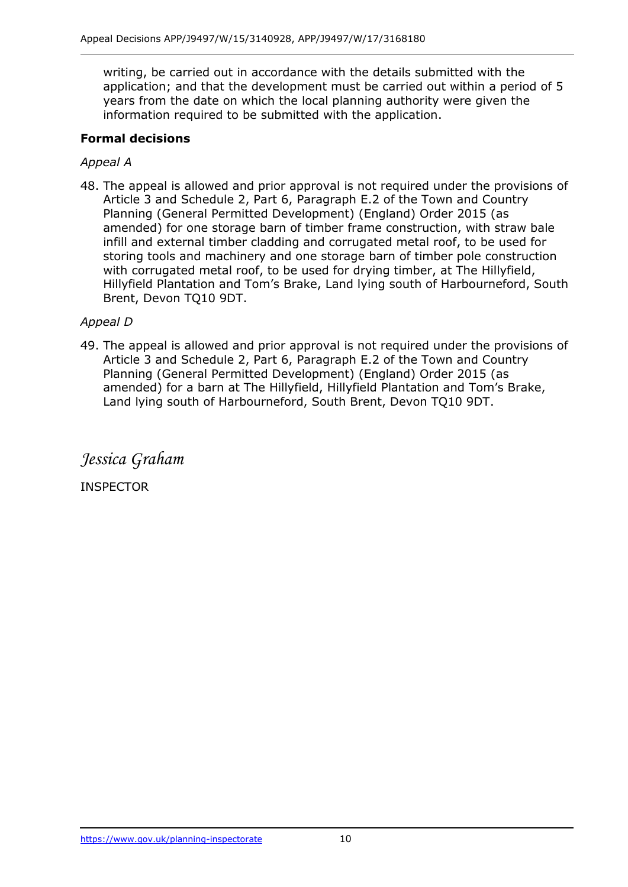writing, be carried out in accordance with the details submitted with the application; and that the development must be carried out within a period of 5 years from the date on which the local planning authority were given the information required to be submitted with the application.

## **Formal decisions**

## *Appeal A*

48. The appeal is allowed and prior approval is not required under the provisions of Article 3 and Schedule 2, Part 6, Paragraph E.2 of the Town and Country Planning (General Permitted Development) (England) Order 2015 (as amended) for one storage barn of timber frame construction, with straw bale infill and external timber cladding and corrugated metal roof, to be used for storing tools and machinery and one storage barn of timber pole construction with corrugated metal roof, to be used for drying timber, at The Hillyfield, Hillyfield Plantation and Tom's Brake, Land lying south of Harbourneford, South Brent, Devon TQ10 9DT.

## *Appeal D*

49. The appeal is allowed and prior approval is not required under the provisions of Article 3 and Schedule 2, Part 6, Paragraph E.2 of the Town and Country Planning (General Permitted Development) (England) Order 2015 (as amended) for a barn at The Hillyfield, Hillyfield Plantation and Tom's Brake, Land lying south of Harbourneford, South Brent, Devon TQ10 9DT.

*Jessica Graham*

INSPECTOR